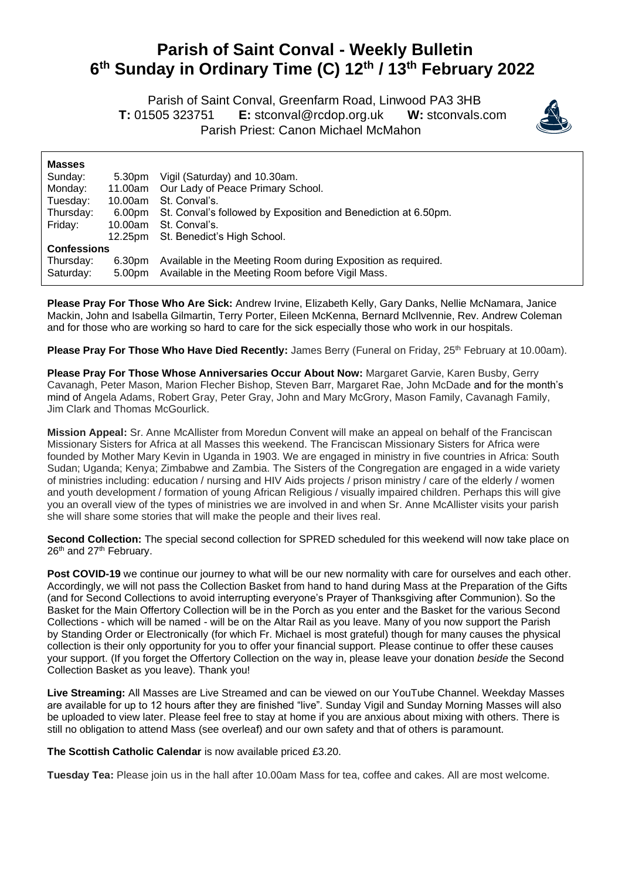## **Parish of Saint Conval - Weekly Bulletin 6 th Sunday in Ordinary Time (C) 12th / 13th February 2022**

 Parish of Saint Conval, Greenfarm Road, Linwood PA3 3HB **T:** 01505 323751 **E:** [stconval@rcdop.org.uk](mailto:stconval@rcdop.org.uk) **W:** stconvals.com Parish Priest: Canon Michael McMahon



| <b>Masses</b>      |         |                                                                       |
|--------------------|---------|-----------------------------------------------------------------------|
| Sunday:            | 5.30pm  | Vigil (Saturday) and 10.30am.                                         |
| Monday:            | 11.00am | Our Lady of Peace Primary School.                                     |
| Tuesday:           | 10.00am | St. Conval's.                                                         |
| Thursday:          |         | 6.00pm St. Conval's followed by Exposition and Benediction at 6.50pm. |
| Friday:            | 10.00am | St. Conval's.                                                         |
|                    | 12.25pm | St. Benedict's High School.                                           |
| <b>Confessions</b> |         |                                                                       |
| Thursday:          | 6.30pm  | Available in the Meeting Room during Exposition as required.          |
| Saturday:          | 5.00pm  | Available in the Meeting Room before Vigil Mass.                      |

**Please Pray For Those Who Are Sick:** Andrew Irvine, Elizabeth Kelly, Gary Danks, Nellie McNamara, Janice Mackin, John and Isabella Gilmartin, Terry Porter, Eileen McKenna, Bernard McIlvennie, Rev. Andrew Coleman and for those who are working so hard to care for the sick especially those who work in our hospitals.

**Please Pray For Those Who Have Died Recently:** James Berry (Funeral on Friday, 25<sup>th</sup> February at 10.00am).

**Please Pray For Those Whose Anniversaries Occur About Now:** Margaret Garvie, Karen Busby, Gerry Cavanagh, Peter Mason, Marion Flecher Bishop, Steven Barr, Margaret Rae, John McDade and for the month's mind of Angela Adams, Robert Gray, Peter Gray, John and Mary McGrory, Mason Family, Cavanagh Family, Jim Clark and Thomas McGourlick.

**Mission Appeal:** Sr. Anne McAllister from Moredun Convent will make an appeal on behalf of the Franciscan Missionary Sisters for Africa at all Masses this weekend. The Franciscan Missionary Sisters for Africa were founded by Mother Mary Kevin in Uganda in 1903. We are engaged in ministry in five countries in Africa: South Sudan; Uganda; Kenya; Zimbabwe and Zambia. The Sisters of the Congregation are engaged in a wide variety of ministries including: education / nursing and HIV Aids projects / prison ministry / care of the elderly / women and youth development / formation of young African Religious / visually impaired children. Perhaps this will give you an overall view of the types of ministries we are involved in and when Sr. Anne McAllister visits your parish she will share some stories that will make the people and their lives real.

**Second Collection:** The special second collection for SPRED scheduled for this weekend will now take place on 26<sup>th</sup> and 27<sup>th</sup> February.

Post COVID-19 we continue our journey to what will be our new normality with care for ourselves and each other. Accordingly, we will not pass the Collection Basket from hand to hand during Mass at the Preparation of the Gifts (and for Second Collections to avoid interrupting everyone's Prayer of Thanksgiving after Communion). So the Basket for the Main Offertory Collection will be in the Porch as you enter and the Basket for the various Second Collections - which will be named - will be on the Altar Rail as you leave. Many of you now support the Parish by Standing Order or Electronically (for which Fr. Michael is most grateful) though for many causes the physical collection is their only opportunity for you to offer your financial support. Please continue to offer these causes your support. (If you forget the Offertory Collection on the way in, please leave your donation *beside* the Second Collection Basket as you leave). Thank you!

**Live Streaming:** All Masses are Live Streamed and can be viewed on our YouTube Channel. Weekday Masses are available for up to 12 hours after they are finished "live". Sunday Vigil and Sunday Morning Masses will also be uploaded to view later. Please feel free to stay at home if you are anxious about mixing with others. There is still no obligation to attend Mass (see overleaf) and our own safety and that of others is paramount.

**The Scottish Catholic Calendar** is now available priced £3.20.

**Tuesday Tea:** Please join us in the hall after 10.00am Mass for tea, coffee and cakes. All are most welcome.